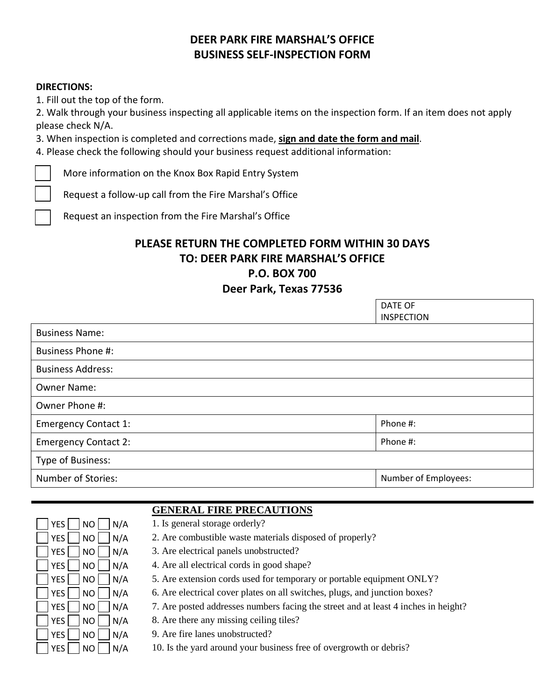### **DEER PARK FIRE MARSHAL'S OFFICE BUSINESS SELF-INSPECTION FORM**

#### **DIRECTIONS:**

1. Fill out the top of the form.

2. Walk through your business inspecting all applicable items on the inspection form. If an item does not apply please check N/A.

3. When inspection is completed and corrections made, **sign and date the form and mail**.

4. Please check the following should your business request additional information:

More information on the Knox Box Rapid Entry System

Request a follow-up call from the Fire Marshal's Office

Request an inspection from the Fire Marshal's Office

# **PLEASE RETURN THE COMPLETED FORM WITHIN 30 DAYS TO: DEER PARK FIRE MARSHAL'S OFFICE P.O. BOX 700**

#### **Deer Park, Texas 77536**

|                             | DATE OF<br><b>INSPECTION</b> |
|-----------------------------|------------------------------|
| <b>Business Name:</b>       |                              |
| <b>Business Phone #:</b>    |                              |
| <b>Business Address:</b>    |                              |
| <b>Owner Name:</b>          |                              |
| Owner Phone #:              |                              |
| <b>Emergency Contact 1:</b> | Phone #:                     |
| <b>Emergency Contact 2:</b> | Phone #:                     |
| Type of Business:           |                              |
| <b>Number of Stories:</b>   | Number of Employees:         |

|                                                  | $ \gamma$ es $ $ No $ $ | N/A |
|--------------------------------------------------|-------------------------|-----|
| $\vert$ YES $\vert \overline{\phantom{a}} \vert$ | NO                      | N/A |
| $\vert$ YES $\vert$<br>$\mathbf{L}$              | NO $\Box$               | N/A |
| $ \gamma$ ES $ \Box$                             | $N$ O                   | N/A |
| $\Box$ YES $\Box$                                | NO                      | N/A |
| $ \gamma$ ES $ $                                 | NO <sub>1</sub>         | N/A |
| $\Box$ YES                                       | NO                      | N/A |
| $\mid$ YES $\mid^-$                              | NO                      | N/A |
| $ \gamma$ es $ $                                 | NO I                    | N/A |
| $\mid$ YES $\mid \overline{\phantom{a}}$         | NO                      | N/A |

### **GENERAL FIRE PRECAUTIONS**

- 1. Is general storage orderly?
- 2. Are combustible waste materials disposed of properly?
- 3. Are electrical panels unobstructed?
- 4. Are all electrical cords in good shape?
- 5. Are extension cords used for temporary or portable equipment ONLY?
- 6. Are electrical cover plates on all switches, plugs, and junction boxes?
- 7. Are posted addresses numbers facing the street and at least 4 inches in height?
- 8. Are there any missing ceiling tiles?
- 9. Are fire lanes unobstructed?
- 10. Is the yard around your business free of overgrowth or debris?